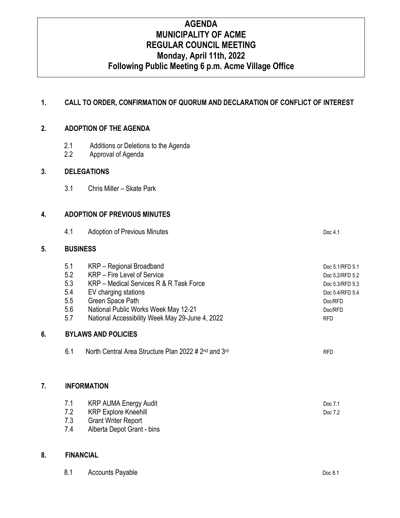# **AGENDA MUNICIPALITY OF ACME REGULAR COUNCIL MEETING Monday, April 11th, 2022 Following Public Meeting 6 p.m. Acme Village Office**

### **1. CALL TO ORDER, CONFIRMATION OF QUORUM AND DECLARATION OF CONFLICT OF INTEREST**

#### **2. ADOPTION OF THE AGENDA**

- 2.1 Additions or Deletions to the Agenda
- 2.2 Approval of Agenda

#### **3. DELEGATIONS**

3.1 Chris Miller – Skate Park

#### **4. ADOPTION OF PREVIOUS MINUTES**

|    | 4.1                        | <b>Adoption of Previous Minutes</b>                                          | Doc 4.1         |  |  |
|----|----------------------------|------------------------------------------------------------------------------|-----------------|--|--|
| 5. | <b>BUSINESS</b>            |                                                                              |                 |  |  |
|    | 5.1                        | KRP - Regional Broadband                                                     | Doc 5.1/RFD 5.1 |  |  |
|    | 5.2                        | KRP – Fire Level of Service                                                  | Doc 5.2/RFD 5.2 |  |  |
|    | 5.3                        | KRP - Medical Services R & R Task Force                                      | Doc 5.3/RFD 5.3 |  |  |
|    | 5.4                        | EV charging stations                                                         | Doc 5.4/RFD 5.4 |  |  |
|    | 5.5                        | Green Space Path                                                             | Doc/RFD         |  |  |
|    | 5.6                        | National Public Works Week May 12-21                                         | Doc/RFD         |  |  |
|    | 5.7                        | National Accessibility Week May 29-June 4, 2022                              | <b>RFD</b>      |  |  |
| 6. | <b>BYLAWS AND POLICIES</b> |                                                                              |                 |  |  |
|    | 6.1                        | North Central Area Structure Plan 2022 # 2 <sup>nd</sup> and 3 <sup>rd</sup> | <b>RFD</b>      |  |  |
|    |                            |                                                                              |                 |  |  |
|    |                            |                                                                              |                 |  |  |

### **7. INFORMATION**

| 7.1 | KRP AUMA Energy Audit      | Doc 7.1 |
|-----|----------------------------|---------|
| 7.2 | KRP Explore Kneehill       | Doc 7.2 |
| 7.3 | <b>Grant Writer Report</b> |         |
|     |                            |         |

7.4 Alberta Depot Grant - bins

#### **8. FINANCIAL**

| 8.1 | <b>Accounts Payable</b> | Doc 8.1 |
|-----|-------------------------|---------|
|     |                         |         |